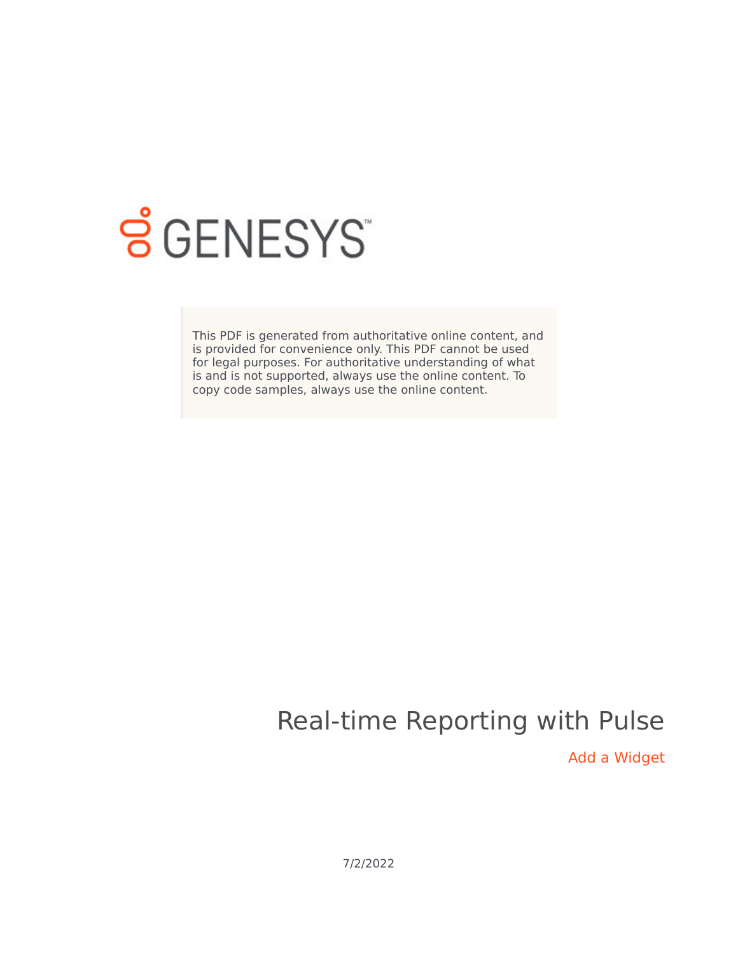

# **SGENESYS**

This PDF is generated from authoritative online content, and is provided for convenience only. This PDF cannot be used for legal purposes. For authoritative understanding of what is and is not supported, always use the online content. To copy code samples, always use the online content.

## Real-time Reporting with Pulse

Add a Widget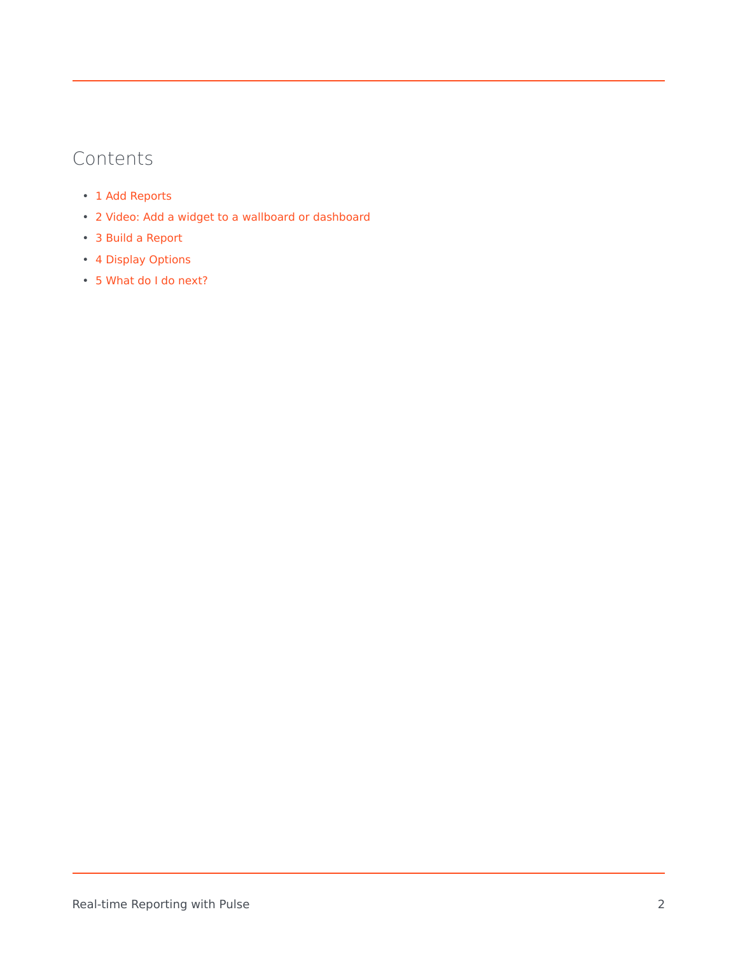#### Contents

- 1 [Add Reports](#page-3-0)
- 2 [Video: Add a widget to a wallboard or dashboard](#page-3-1)
- 3 [Build a Report](#page-4-0)
- 4 [Display Options](#page-5-0)
- 5 [What do I do next?](#page-6-0)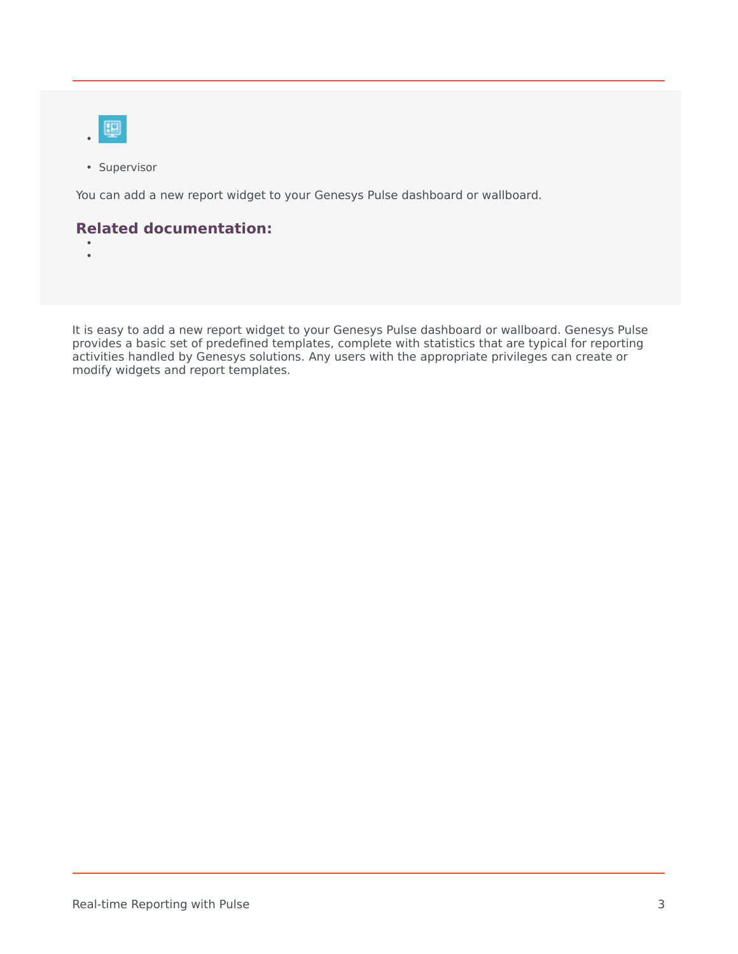

• Supervisor

You can add a new report widget to your Genesys Pulse dashboard or wallboard.

#### **Related documentation:**

• •

It is easy to add a new report widget to your Genesys Pulse dashboard or wallboard. Genesys Pulse provides a basic set of predefined templates, complete with statistics that are typical for reporting activities handled by Genesys solutions. Any users with the appropriate privileges can create or modify widgets and report templates.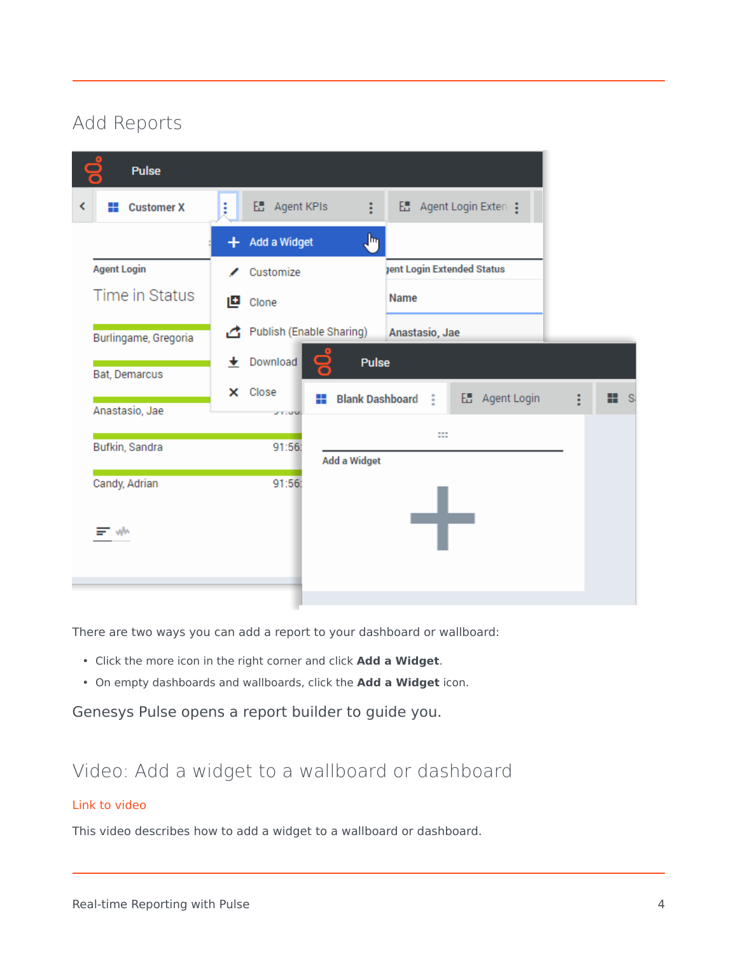### <span id="page-3-0"></span>Add Reports

|   | <b>Pulse</b>         |   |                          |                |                        |                                   |                       |                |
|---|----------------------|---|--------------------------|----------------|------------------------|-----------------------------------|-----------------------|----------------|
| K | <b>El</b> Customer X | ŧ | <b>E.</b> Agent KPIs     |                | ÷                      |                                   | ■ Agent Login Exten : |                |
|   |                      |   | + Add a Widget           |                | յհղ                    |                                   |                       |                |
|   | <b>Agent Login</b>   | ╭ | Customize                |                |                        | <b>Jent Login Extended Status</b> |                       |                |
|   | Time in Status       |   | <b>D</b> Clone           |                |                        | Name                              |                       |                |
|   | Burlingame, Gregoria | ₫ | Publish (Enable Sharing) |                |                        | Anastasio, Jae                    |                       |                |
|   | Bat, Demarcus        | ۰ | Download                 | $\blacksquare$ | <b>Pulse</b>           |                                   |                       |                |
|   | Anastasio, Jae       |   | X Close<br>31.000        | ₩              | <b>Blank Dashboard</b> | ÷                                 | E Agent Login         | ₩.<br><b>S</b> |
|   | Bufkin, Sandra       |   | 91:56:                   |                | Add a Widget           | 88                                |                       |                |
|   | Candy, Adrian        |   | 91:56:                   |                |                        |                                   |                       |                |
|   | = ww                 |   |                          |                |                        |                                   |                       |                |
|   |                      |   |                          |                |                        |                                   |                       |                |

There are two ways you can add a report to your dashboard or wallboard:

- Click the more icon in the right corner and click **Add a Widget**.
- On empty dashboards and wallboards, click the **Add a Widget** icon.

Genesys Pulse opens a report builder to guide you.

#### <span id="page-3-1"></span>Video: Add a widget to a wallboard or dashboard

#### [Link to video](https://player.vimeo.com/video/671208389?title=0&byline=0&portrait=0)

This video describes how to add a widget to a wallboard or dashboard.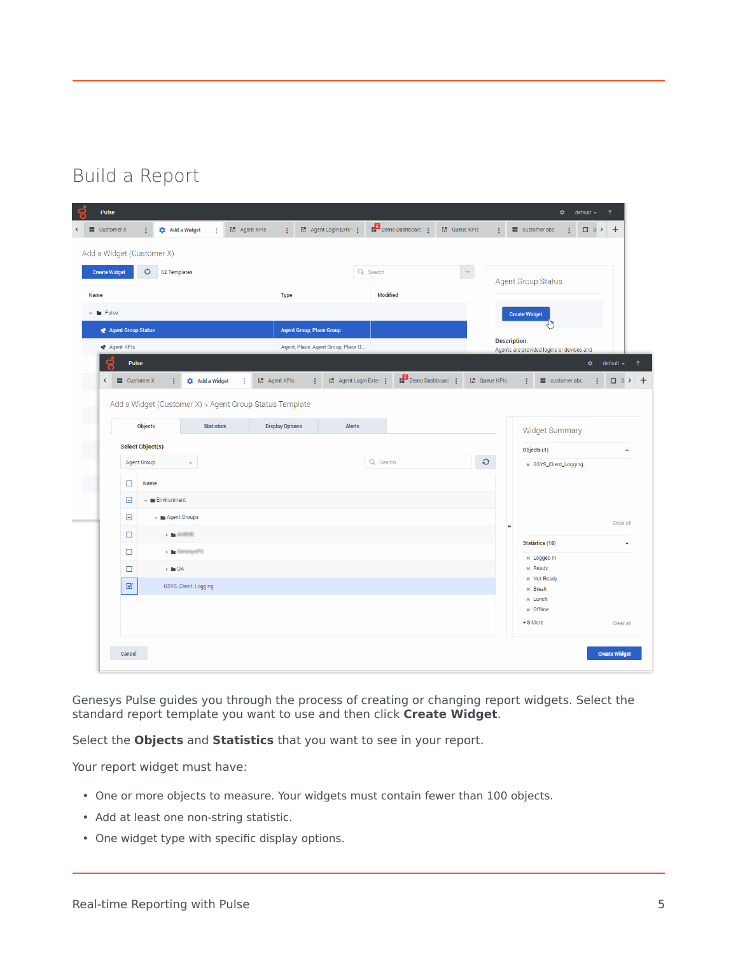#### <span id="page-4-0"></span>Build a Report

|                      | <b>H</b> Customer X<br>÷  | <b>XX</b> Add a Widget          |                             | <b>E.</b> Agent KPIs | ÷                      |                                 | E Agent Login Exten :              |          | Demo Dashboard | <b>E.</b> Queue KPIs |               | ÷ | <b>III</b> customer abc |                                      | ÷                                         | <b>ロ</b> D > + |                                  |
|----------------------|---------------------------|---------------------------------|-----------------------------|----------------------|------------------------|---------------------------------|------------------------------------|----------|----------------|----------------------|---------------|---|-------------------------|--------------------------------------|-------------------------------------------|----------------|----------------------------------|
|                      | Add a Widget (Customer X) |                                 |                             |                      |                        |                                 |                                    |          |                |                      |               |   |                         |                                      |                                           |                |                                  |
| <b>Create Widget</b> |                           | Ò<br>62 Templates               |                             |                      |                        |                                 |                                    | Q Search |                |                      | $\prec$       |   |                         | <b>Agent Group Status</b>            |                                           |                |                                  |
| Name                 |                           |                                 |                             |                      | Type                   |                                 |                                    | Modified |                |                      |               |   |                         |                                      |                                           |                |                                  |
| <b>Pulse</b>         |                           |                                 |                             |                      |                        |                                 |                                    |          |                |                      |               |   | <b>Create Widget</b>    |                                      |                                           |                |                                  |
|                      | Agent Group Status        |                                 |                             |                      |                        | <b>Agent Group, Place Group</b> |                                    |          |                |                      |               |   |                         |                                      |                                           |                |                                  |
| ■ Agent KPIs         |                           |                                 |                             |                      |                        |                                 | Agent, Place, Agent Group, Place G |          |                |                      |               |   | <b>Description:</b>     |                                      | Agents are provided logins or devices and |                |                                  |
| 므                    | Pulse                     |                                 |                             |                      |                        |                                 |                                    |          |                |                      |               |   |                         |                                      |                                           | ۰              | default $\sim$                   |
| $\langle$            | <b>III</b> Customer X     | ÷                               | <b>1</b> Add a Widget       | ÷                    | <b>E.</b> Agent KPIs   | ÷                               | E Agent Login Exten :              |          | Demo Dashboard |                      | H Queue KPIs  |   | ÷                       |                                      | <b>II</b> customer abc                    | з              | □ D >                            |
|                      | <b>Objects</b>            |                                 | <b>Statistics</b>           |                      | <b>Display Options</b> |                                 | Alerts                             |          |                |                      |               |   |                         | Widget Summary                       |                                           |                |                                  |
|                      | <b>Select Object(s)</b>   |                                 |                             |                      |                        |                                 |                                    |          |                |                      |               |   |                         | Objects (1)                          |                                           |                |                                  |
|                      | <b>Agent Group</b>        |                                 | v                           |                      |                        |                                 |                                    | Q Search |                |                      | $\mathcal{O}$ |   |                         | x GSYS_Client_Logging                |                                           |                |                                  |
|                      | □                         | Name                            |                             |                      |                        |                                 |                                    |          |                |                      |               |   |                         |                                      |                                           |                |                                  |
|                      | ⊟                         | $\sim$ <b>Environment</b>       |                             |                      |                        |                                 |                                    |          |                |                      |               |   |                         |                                      |                                           |                |                                  |
|                      | Θ                         | Magent Groups                   |                             |                      |                        |                                 |                                    |          |                |                      |               | н |                         |                                      |                                           |                | $\hat{\phantom{a}}$<br>Clear all |
|                      | □                         | $>$ $\blacksquare$ distribution |                             |                      |                        |                                 |                                    |          |                |                      |               |   |                         | <b>Statistics (18)</b>               |                                           |                | $\hat{\phantom{a}}$              |
|                      | $\Box$                    |                                 | $\rightarrow$ 5 energy of 5 |                      |                        |                                 |                                    |          |                |                      |               |   |                         | $\times$ Logged In                   |                                           |                |                                  |
|                      | $\Box$                    | $\rightarrow$ <b>m</b> QA       |                             |                      |                        |                                 |                                    |          |                |                      |               |   |                         | $\times$ Ready<br>$\times$ Not Ready |                                           |                |                                  |
|                      | $\blacksquare$            |                                 | GSYS_Client_Logging         |                      |                        |                                 |                                    |          |                |                      |               |   |                         | $\times$ Break<br>$\times$ Lunch     |                                           |                |                                  |
|                      |                           |                                 |                             |                      |                        |                                 |                                    |          |                |                      |               |   | + 8 More                | $\times$ Offline                     |                                           |                | Clear all                        |

Genesys Pulse guides you through the process of creating or changing report widgets. Select the standard report template you want to use and then click **Create Widget**.

Select the **Objects** and **Statistics** that you want to see in your report.

Your report widget must have:

- One or more objects to measure. Your widgets must contain fewer than 100 objects.
- Add at least one non-string statistic.
- One widget type with specific display options.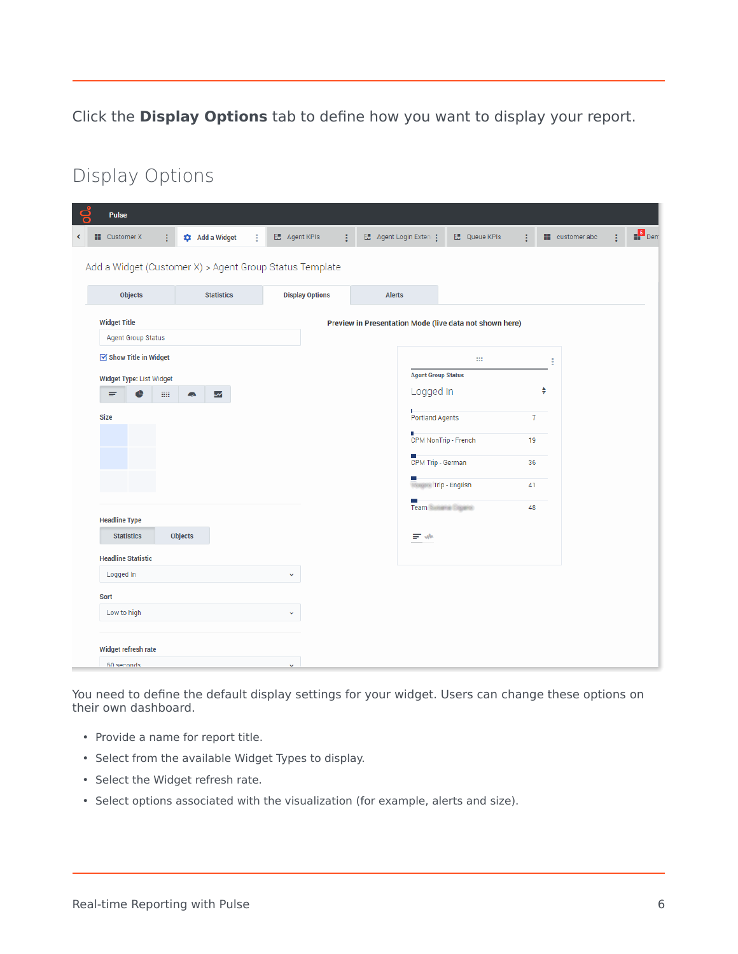Click the **Display Options** tab to define how you want to display your report.

### <span id="page-5-0"></span>Display Options

| Pulse                                            |                                                         |                           |                                                         |                                        |                |                   |                    |
|--------------------------------------------------|---------------------------------------------------------|---------------------------|---------------------------------------------------------|----------------------------------------|----------------|-------------------|--------------------|
| <b>N</b> Customer X<br>÷                         | <b>xt</b> Add a Widget<br>з                             | <b>E.</b> Agent KPIs<br>÷ | E Agent Login Exten :                                   | <b>E.</b> Queue KPIs                   |                | customer abc<br>ŧ | $\frac{5}{11}$ Den |
|                                                  | Add a Widget (Customer X) > Agent Group Status Template |                           |                                                         |                                        |                |                   |                    |
| <b>Objects</b>                                   | <b>Statistics</b>                                       | <b>Display Options</b>    | <b>Alerts</b>                                           |                                        |                |                   |                    |
| <b>Widget Title</b><br><b>Agent Group Status</b> |                                                         |                           | Preview in Presentation Mode (live data not shown here) |                                        |                |                   |                    |
| $\boxdot$ Show Title in Widget                   |                                                         |                           |                                                         | $\mathbb{R}^2$                         |                |                   |                    |
| Widget Type: List Widget<br>88<br>e<br>₹         | ξ<br>◚                                                  |                           |                                                         | <b>Agent Group Status</b><br>Logged In | ♦              |                   |                    |
| <b>Size</b>                                      |                                                         |                           | H,<br>Ľ                                                 | Portland Agents                        | $\overline{7}$ |                   |                    |
|                                                  |                                                         |                           | ×,                                                      | CPM NonTrip - French                   | 19             |                   |                    |
|                                                  |                                                         |                           |                                                         | CPM Trip - German                      | 36             |                   |                    |
|                                                  |                                                         |                           |                                                         | <b>Trip - English</b>                  | 41             |                   |                    |
| <b>Headline Type</b>                             |                                                         |                           |                                                         | Team Susana Cigano                     | 48             |                   |                    |
| <b>Statistics</b>                                | Objects                                                 |                           | 三小                                                      |                                        |                |                   |                    |
| <b>Headline Statistic</b>                        |                                                         |                           |                                                         |                                        |                |                   |                    |
| Logged In                                        |                                                         | v                         |                                                         |                                        |                |                   |                    |
| Sort                                             |                                                         |                           |                                                         |                                        |                |                   |                    |
| Low to high                                      |                                                         | v                         |                                                         |                                        |                |                   |                    |
| Widget refresh rate                              |                                                         |                           |                                                         |                                        |                |                   |                    |
| ahnonez 08                                       |                                                         |                           |                                                         |                                        |                |                   |                    |

You need to define the default display settings for your widget. Users can change these options on their own dashboard.

- Provide a name for report title.
- Select from the available Widget Types to display.
- Select the Widget refresh rate.
- Select options associated with the visualization (for example, alerts and size).